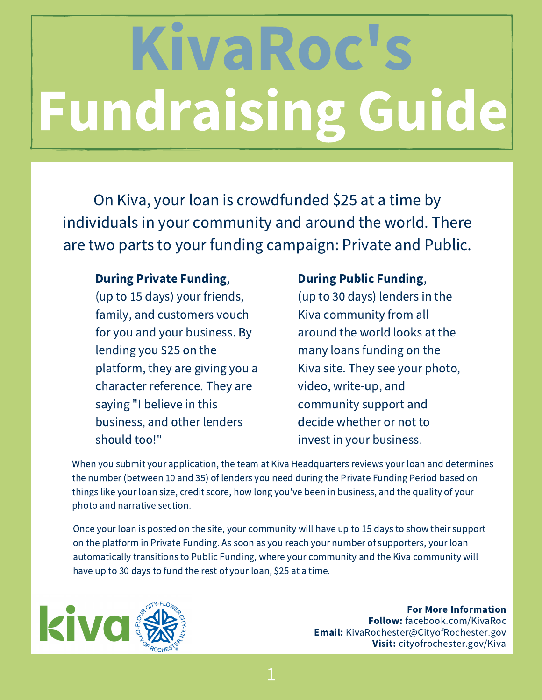# Fundraising Guide **KivaRoc**

On Kiva, your loan is crowdfunded \$25 at a time by individuals in your community and around the world. There are two parts to your funding campaign: Private and Public.

#### During Private Funding,

(up to 15 days) your friends, family, and customers vouch for you and your business. By lending you \$25 on the platform, they are giving you a character reference. They are saying "I believe in this business, and other lenders should too!"

#### During Public Funding,

(up to 30 days) lenders in the Kiva community from all around the world looks at the many loans funding on the Kiva site. They see your photo, video, write-up, and community support and decide whether or not to invest in your business.

When you submit your application, the team at Kiva Headquarters reviews your loan and determines the number (between 10 and 35) of lenders you need during the Private Funding Period based on things like your loan size, credit score, how long you've been in business, and the quality of your photo and narrative section.

Once your loan is posted on the site, your community will have up to 15 days to show their support on the platform in Private Funding. As soon as you reach your number of supporters, your loan automatically transitions to Public Funding, where your community and the Kiva community will have up to 30 days to fund the rest of your loan, \$25 at a time.

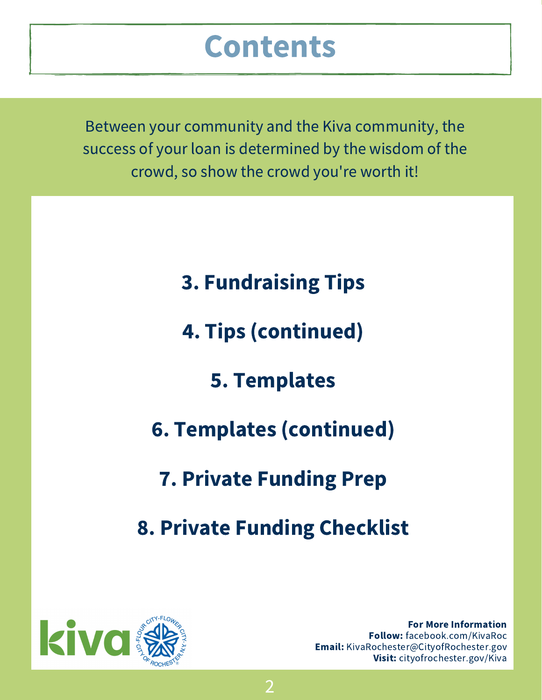### Contents

Between your community and the Kiva community, the success of your loan is determined by the wisdom of the crowd, so show the crowd you're worth it!

3. Fundraising Tips

4. Tips (continued)

5. Templates

6. Templates (continued)

7. Private Funding Prep

8. Private Funding Checklist

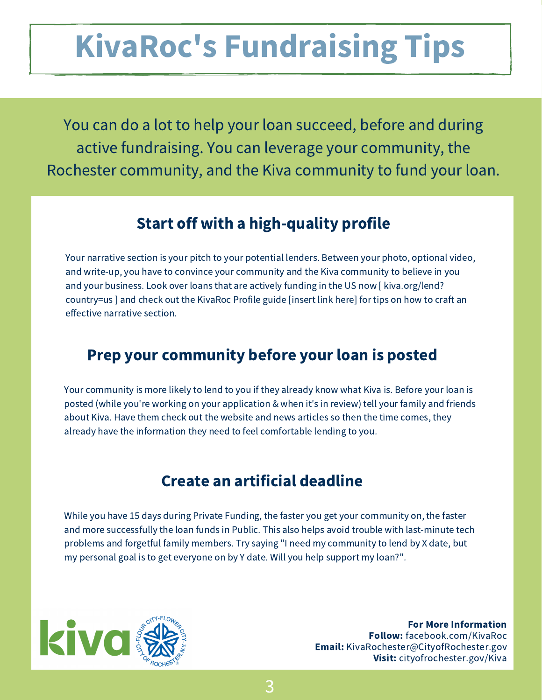# KivaRoc's Fundraising Tips

You can do a lot to help your loan succeed, before and during active fundraising. You can leverage your community, the Rochester community, and the Kiva community to fund your loan.

#### Start off with a high-quality profile

Your narrative section is your pitch to your potential lenders. Between your photo, optional video, and write-up, you have to convince your community and the Kiva community to believe in you and your business. Look over loans that are actively funding in the US now [ kiva.org/lend? country=us ] and check out the KivaRoc Profile guide [insert link here] for tips on how to craft an effective narrative section.

#### Prep your community before your loan is posted

Your community is more likely to lend to you if they already know what Kiva is. Before your loan is posted (while you're working on your application & when it's in review) tell your family and friends about Kiva. Have them check out the website and news articles so then the time comes, they already have the information they need to feel comfortable lending to you.

#### Create an artificial deadline

While you have 15 days during Private Funding, the faster you get your community on, the faster and more successfully the loan funds in Public. This also helps avoid trouble with last-minute tech problems and forgetful family members. Try saying "I need my community to lend by X date, but my personal goal is to get everyone on by Y date. Will you help support my loan?".

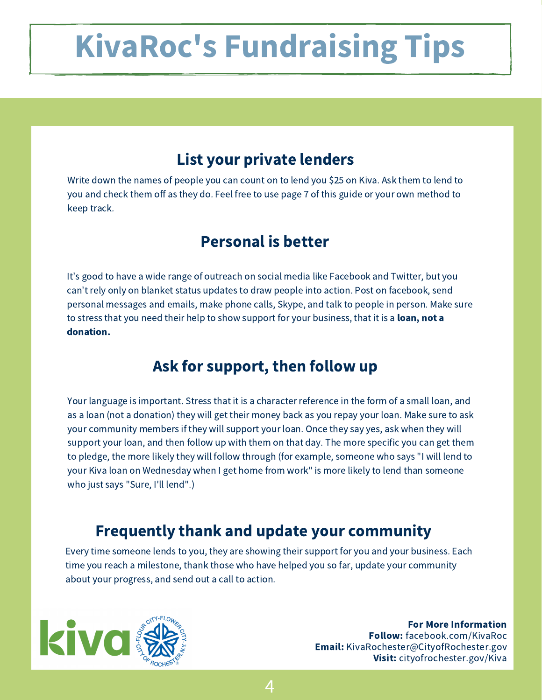# KivaRoc's Fundraising Tips

#### List your private lenders

Write down the names of people you can count on to lend you \$25 on Kiva. Ask them to lend to you and check them off as they do. Feel free to use page 7 of this guide or your own method to keep track.

#### Personal is better

It's good to have a wide range of outreach on social media like Facebook and Twitter, but you can't rely only on blanket status updates to draw people into action. Post on facebook, send personal messages and emails, make phone calls, Skype, and talk to people in person. Make sure to stress that you need their help to show support for your business, that it is a **loan, not a** donation.

#### Ask for support, then follow up

Your language is important. Stress that it is a character reference in the form of a small loan, and as a loan (not a donation) they will get their money back as you repay your loan. Make sure to ask your community members if they will support your loan. Once they say yes, ask when they will support your loan, and then follow up with them on that day. The more specific you can get them to pledge, the more likely they will follow through (for example, someone who says "I will lend to your Kiva loan on Wednesday when I get home from work" is more likely to lend than someone who just says "Sure, I'll lend".)

#### Frequently thank and update your community

Every time someone lends to you, they are showing their support for you and your business. Each time you reach a milestone, thank those who have helped you so far, update your community about your progress, and send out a call to action.

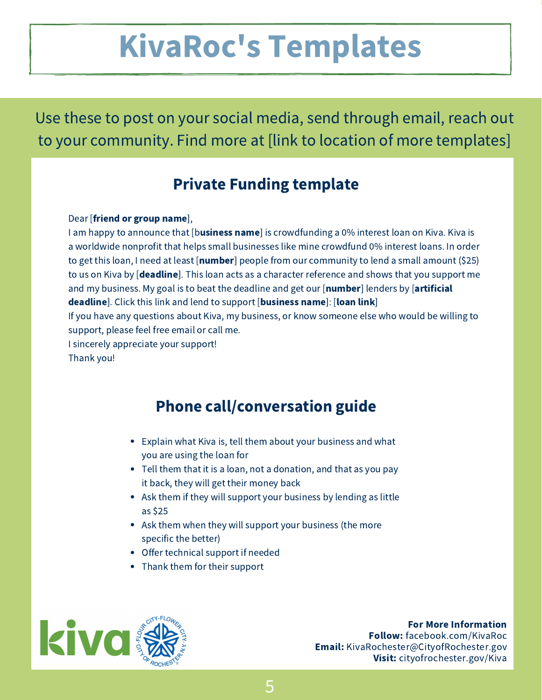## KivaRoc's Templates

Use these to post on your social media, send through email, reach out to your community. Find more at [link to location of more templates]

#### Private Funding template

#### Dear [friend or group name],

I am happy to announce that [business name] is crowdfunding a 0% interest loan on Kiva. Kiva is a worldwide nonprofit that helps small businesses like mine crowdfund 0% interest loans. In order to get this loan, I need at least [**number**] people from our community to lend a small amount (\$25) to us on Kiva by [deadline]. This loan acts as a character reference and shows that you support me and my business. My goal is to beat the deadline and get our  $[number]$  lenders by  $[artificial]$ deadline]. Click this link and lend to support [business name]: [loan link] If you have any questions about Kiva, my business, or know someone else who would be willing to support, please feel free email or call me.

I sincerely appreciate your support!

Thank you!

#### Phone call/conversation guide

- Explain what Kiva is, tell them about your business and what you are using the loan for
- Tell them that it is a loan, not a donation, and that as you pay it back, they will get their money back
- Ask them if they will support your business by lending as little as \$25
- Ask them when they will support your business (the more specific the better)
- Offer technical support if needed
- Thank them for their support

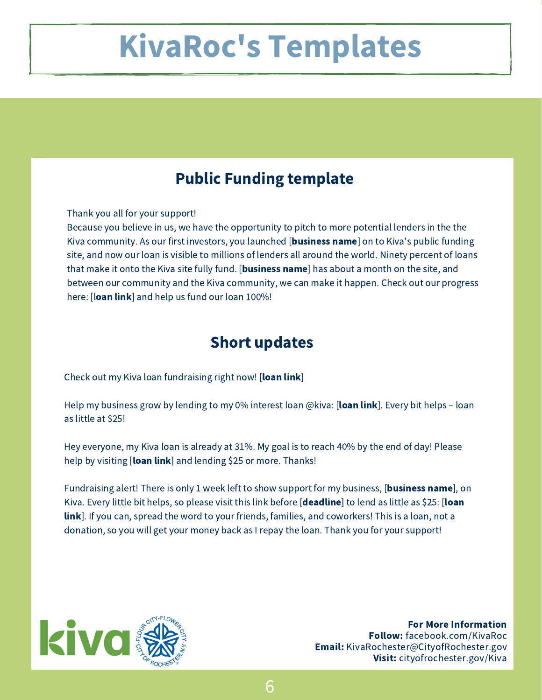### KivaRoc's Templates

#### Public Funding template

Thank you all for your support!

Because you believe in us, we have the opportunity to pitch to more potential lenders in the the Kiva community. As our first investors, you launched [**business name**] on to Kiva's public funding site, and now our loan is visible to millions of lenders all around the world. Ninety percent of loans that make it onto the Kiva site fully fund. [**business name**] has about a month on the site, and between our community and the Kiva community, we can make it happen. Check out our progress here: [loan link] and help us fund our loan 100%!

#### Short updates

Check out my Kiva loan fundraising right now! [loan link]

Help my business grow by lending to my 0% interest loan @kiva: [loan link]. Every bit helps – loan as little at \$25!

Hey everyone, my Kiva loan is already at 31%. My goal is to reach 40% by the end of day! Please help by visiting [loan link] and lending \$25 or more. Thanks!

Fundraising alert! There is only 1 week left to show support for my business, [**business name**], on Kiva. Every little bit helps, so please visit this link before [deadline] to lend as little as \$25: [loan] link]. If you can, spread the word to your friends, families, and coworkers! This is a loan, not a donation, so you will get your money back as I repay the loan. Thank you for your support!



For More Information Follow: facebook.com/KivaRoc Email: KivaRochester@CityofRochester.gov Visit: cityofrochester.gov/Kiva

6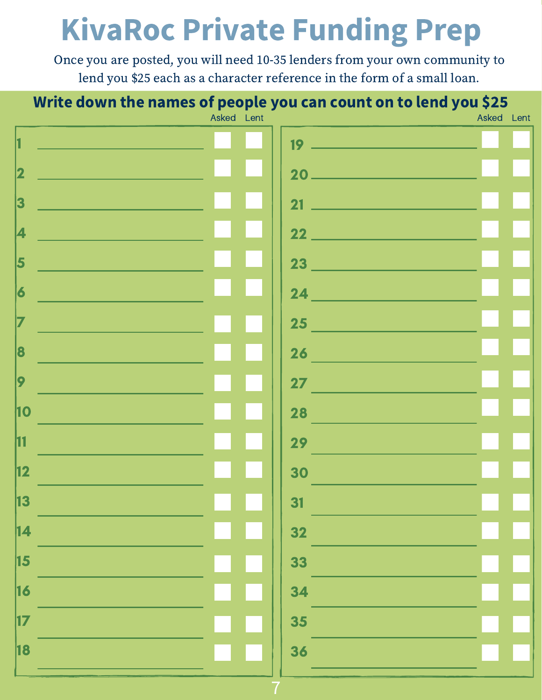## KivaRoc Private Funding Prep

Once you are posted, you will need 10-35 lenders from your own community to lend you \$25 each as a character reference in the form of a small loan.